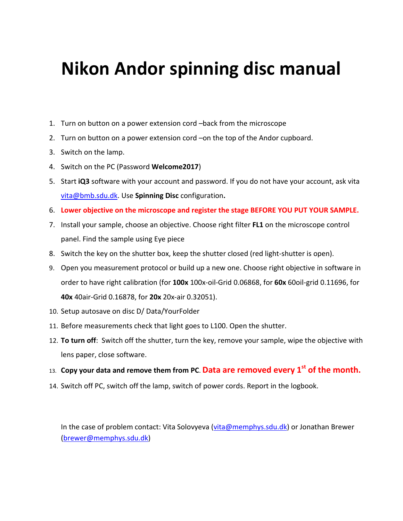## **Nikon Andor spinning disc manual**

- 1. Turn on button on a power extension cord –back from the microscope
- 2. Turn on button on a power extension cord –on the top of the Andor cupboard.
- 3. Switch on the lamp.
- 4. Switch on the PC (Password **Welcome2017**)
- 5. Start **iQ3** software with your account and password. If you do not have your account, ask vita [vita@bmb.sdu.dk.](mailto:vita@bmb.sdu.dk) Use **Spinning Disc** configuration**.**
- 6. **Lower objective on the microscope and register the stage BEFORE YOU PUT YOUR SAMPLE.**
- 7. Install your sample, choose an objective. Choose right filter **FL1** on the microscope control panel. Find the sample using Eye piece
- 8. Switch the key on the shutter box, keep the shutter closed (red light-shutter is open).
- 9. Open you measurement protocol or build up a new one. Choose right objective in software in order to have right calibration (for **100x** 100x-oil-Grid 0.06868, for **60x** 60oil-grid 0.11696, for **40x** 40air-Grid 0.16878, for **20x** 20x-air 0.32051).
- 10. Setup autosave on disc D/ Data/YourFolder
- 11. Before measurements check that light goes to L100. Open the shutter.
- 12. **To turn off**: Switch off the shutter, turn the key, remove your sample, wipe the objective with lens paper, close software.
- 13. **Copy your data and remove them from PC**. **Data are removed every 1st of the month.**
- 14. Switch off PC, switch off the lamp, switch of power cords. Report in the logbook.

In the case of problem contact: Vita Solovyeva [\(vita@memphys.sdu.dk\)](mailto:vita@memphys.sdu.dk) or Jonathan Brewer (brewer@memphys.sdu.dk)